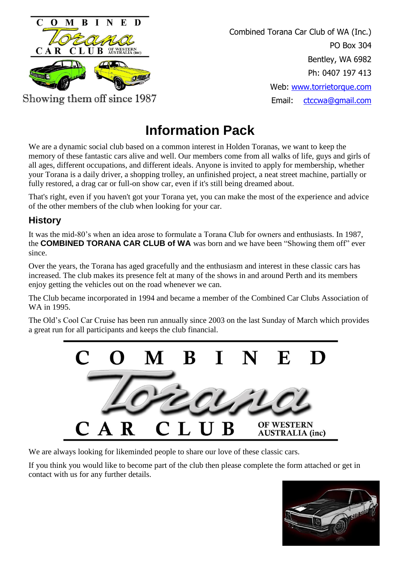

Combined Torana Car Club of WA (Inc.) PO Box 304 Bentley, WA 6982 Ph: 0407 197 413 Web: [www.torrietorque.com](http://www.torrietorque.com/) Email: [ctccwa@gmail.com](mailto:ctccwa@gmail.com)

# **Information Pack**

We are a dynamic social club based on a common interest in Holden Toranas, we want to keep the memory of these fantastic cars alive and well. Our members come from all walks of life, guys and girls of all ages, different occupations, and different ideals. Anyone is invited to apply for membership, whether your Torana is a daily driver, a shopping trolley, an unfinished project, a neat street machine, partially or fully restored, a drag car or full-on show car, even if it's still being dreamed about.

That's right, even if you haven't got your Torana yet, you can make the most of the experience and advice of the other members of the club when looking for your car.

## **History**

It was the mid-80's when an idea arose to formulate a Torana Club for owners and enthusiasts. In 1987, the **COMBINED TORANA CAR CLUB of WA** was born and we have been "Showing them off" ever since.

Over the years, the Torana has aged gracefully and the enthusiasm and interest in these classic cars has increased. The club makes its presence felt at many of the shows in and around Perth and its members enjoy getting the vehicles out on the road whenever we can.

The Club became incorporated in 1994 and became a member of the Combined Car Clubs Association of WA in 1995.

The Old's Cool Car Cruise has been run annually since 2003 on the last Sunday of March which provides a great run for all participants and keeps the club financial.



We are always looking for likeminded people to share our love of these classic cars.

If you think you would like to become part of the club then please complete the form attached or get in contact with us for any further details.